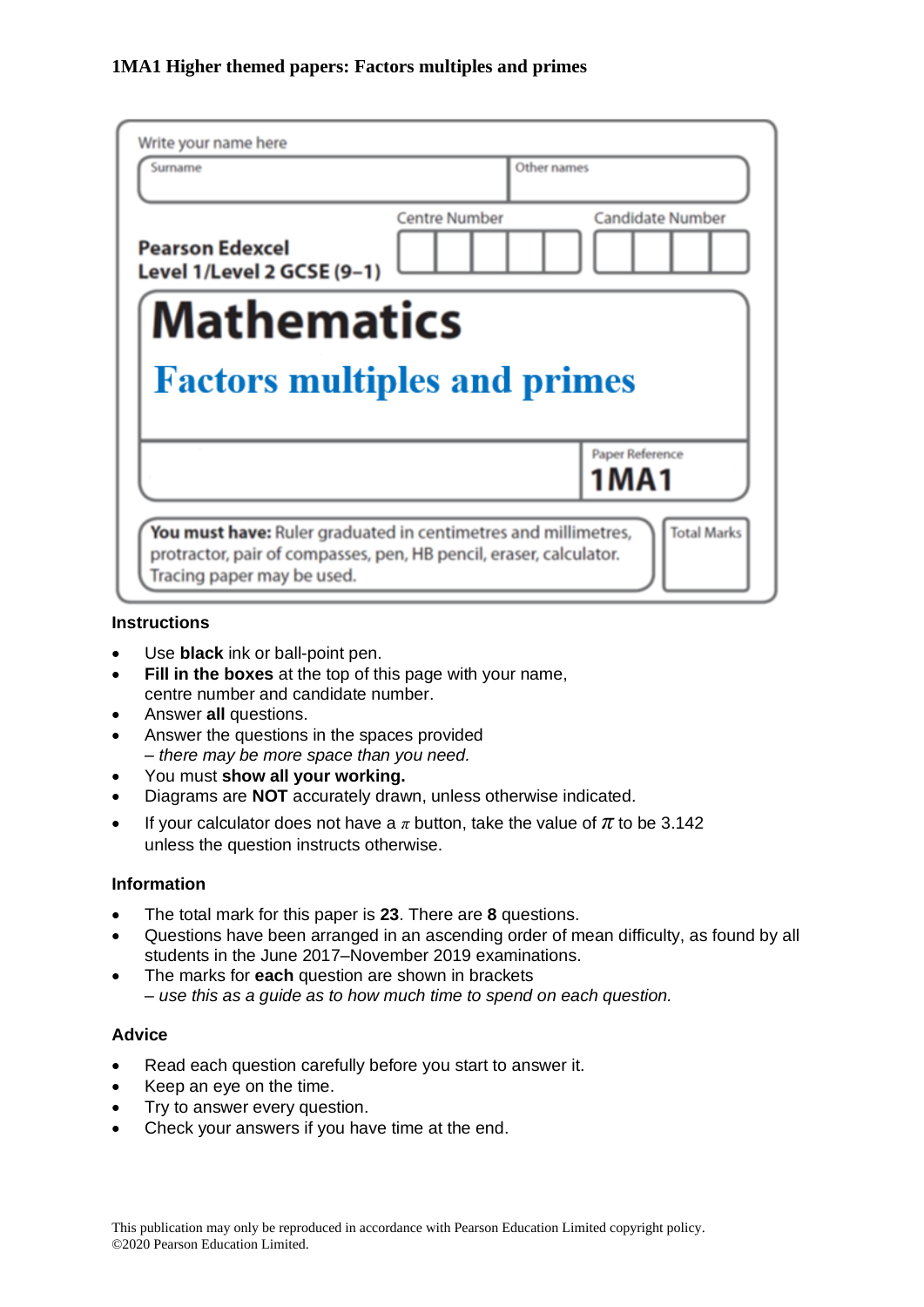| Write your name here<br>Surname                           |                      | Other names             |
|-----------------------------------------------------------|----------------------|-------------------------|
| <b>Pearson Edexcel</b><br>Level 1/Level 2 GCSE (9-1)      | <b>Centre Number</b> | <b>Candidate Number</b> |
| <b>Mathematics</b><br><b>Factors multiples and primes</b> |                      |                         |
|                                                           |                      |                         |
|                                                           |                      | Paper Reference<br>1MA1 |

#### **Instructions**

- Use **black** ink or ball-point pen.
- **Fill in the boxes** at the top of this page with your name, centre number and candidate number.
- Answer **all** questions.
- Answer the questions in the spaces provided *– there may be more space than you need.*
- You must **show all your working.**
- Diagrams are **NOT** accurately drawn, unless otherwise indicated.
- If your calculator does not have a  $\pi$  button, take the value of  $\pi$  to be 3.142 unless the question instructs otherwise.

## **Information**

- The total mark for this paper is **23**. There are **8** questions.
- Questions have been arranged in an ascending order of mean difficulty, as found by all students in the June 2017–November 2019 examinations.
- The marks for **each** question are shown in brackets *– use this as a guide as to how much time to spend on each question.*

#### **Advice**

- Read each question carefully before you start to answer it.
- Keep an eye on the time.
- Try to answer every question.
- Check your answers if you have time at the end.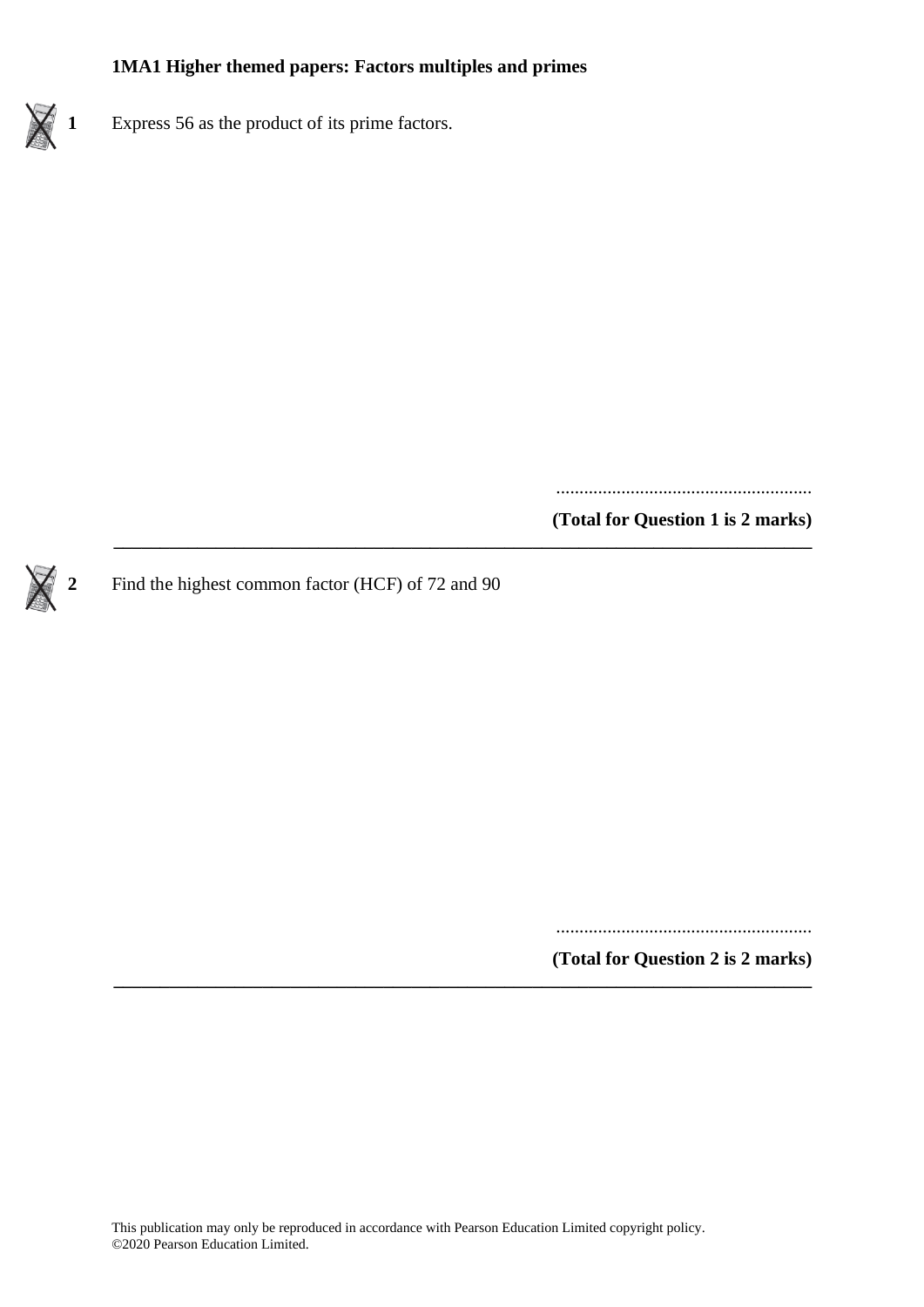

**1** Express 56 as the product of its prime factors.

.......................................................

**(Total for Question 1 is 2 marks)**

**2** Find the highest common factor (HCF) of 72 and 90

.......................................................

**(Total for Question 2 is 2 marks)**

**\_\_\_\_\_\_\_\_\_\_\_\_\_\_\_\_\_\_\_\_\_\_\_\_\_\_\_\_\_\_\_\_\_\_\_\_\_\_\_\_\_\_\_\_\_\_\_\_\_\_\_\_\_\_\_\_\_\_\_\_\_\_\_\_\_\_\_\_\_\_\_\_\_\_\_**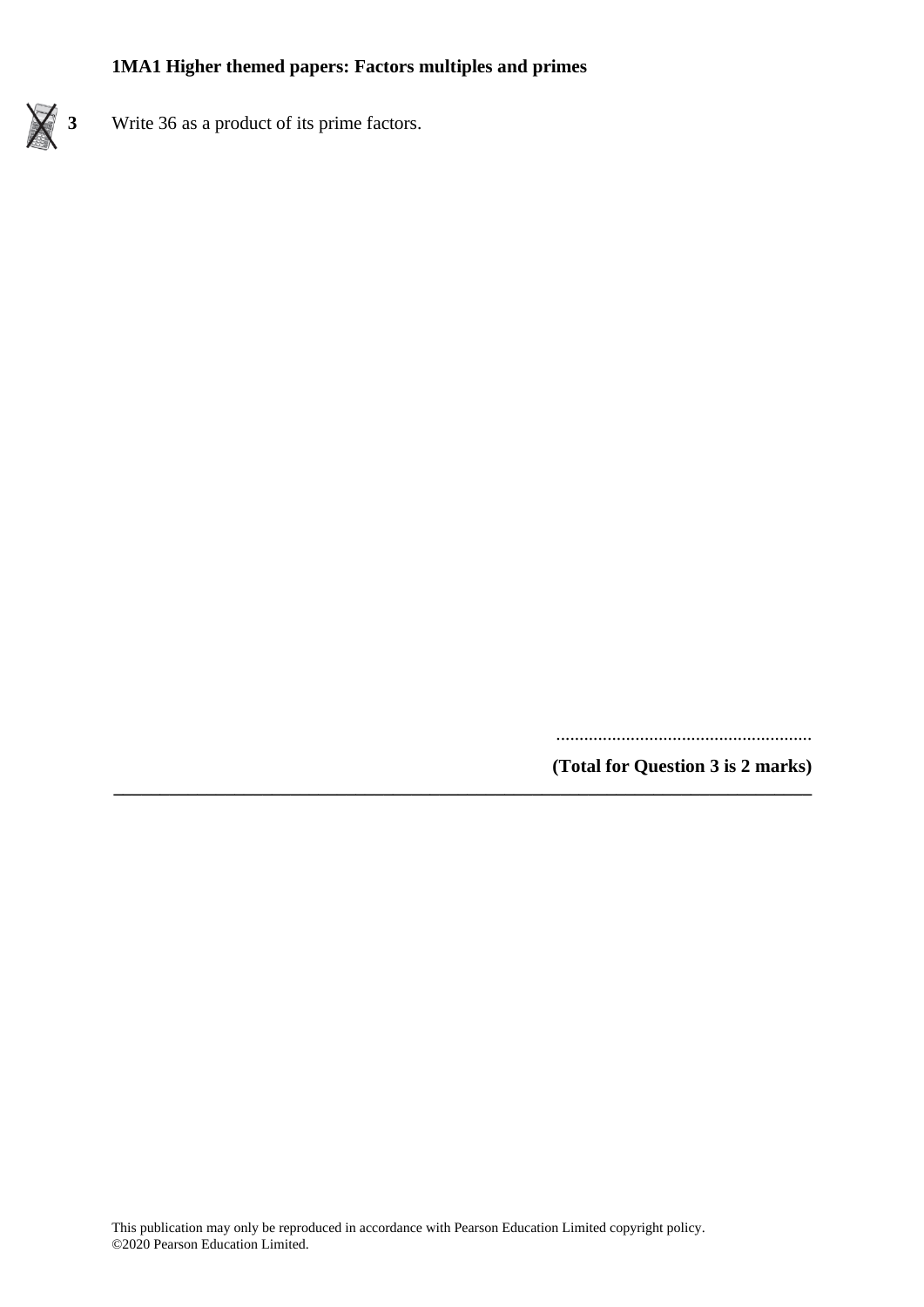

**3** Write 36 as a product of its prime factors.

.......................................................

**(Total for Question 3 is 2 marks)**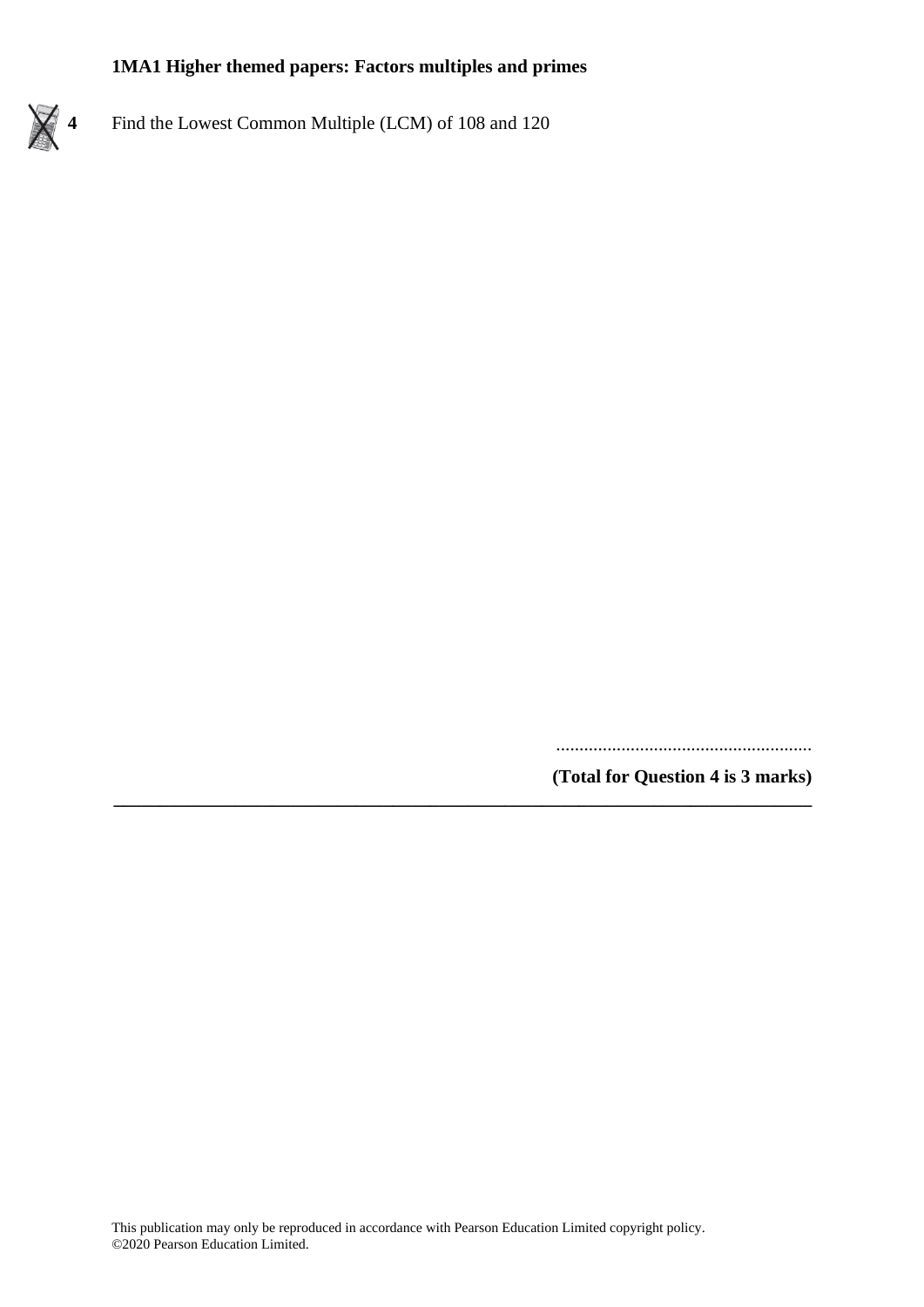**4** Find the Lowest Common Multiple (LCM) of 108 and 120

.......................................................

**(Total for Question 4 is 3 marks)**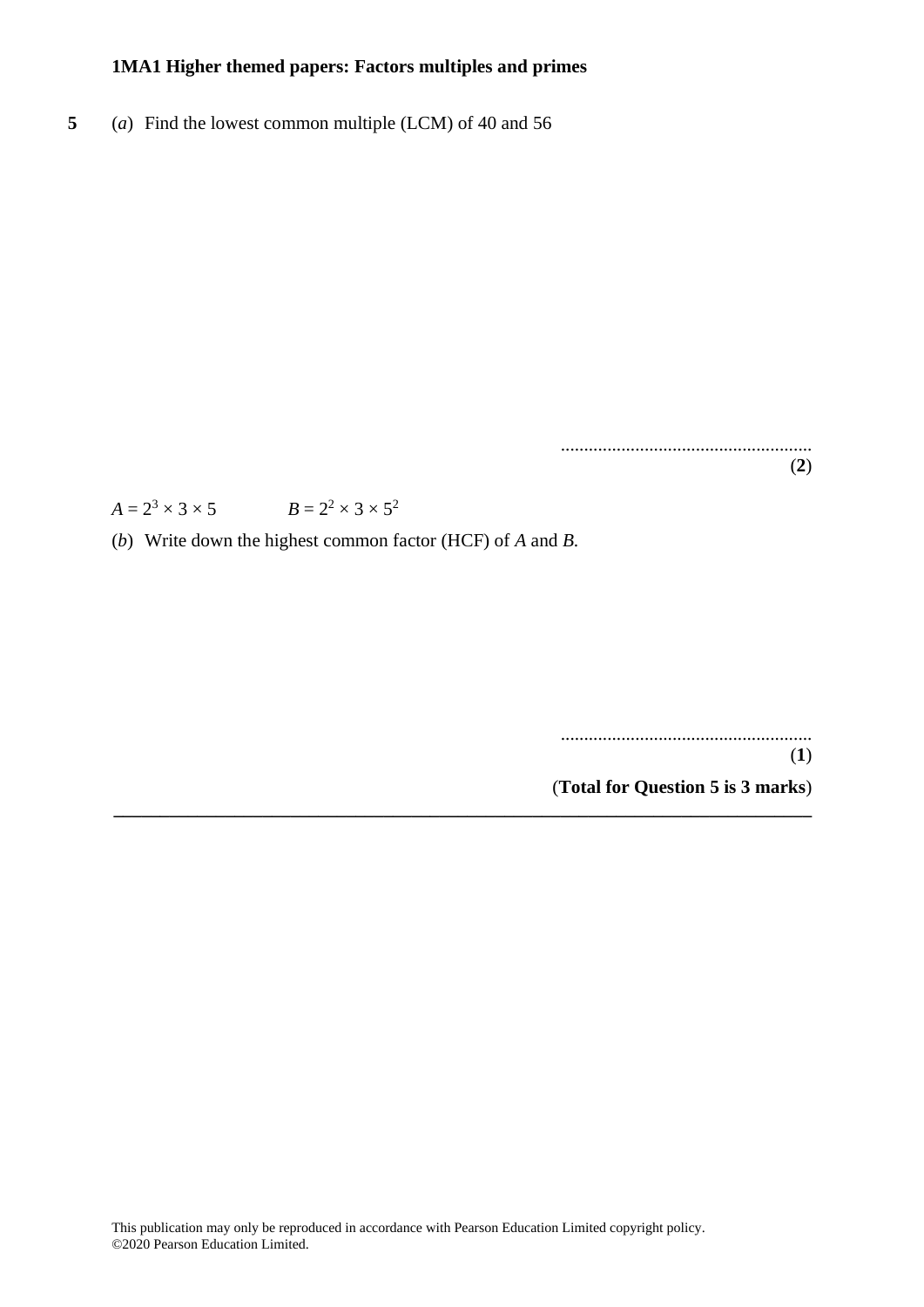**5** (*a*) Find the lowest common multiple (LCM) of 40 and 56

...................................................... (**2**)

 $A = 2^3 \times 3 \times 5$   $B = 2^2 \times 3 \times 5^2$ 

(*b*) Write down the highest common factor (HCF) of *A* and *B*.

...................................................... (**1**) (**Total for Question 5 is 3 marks**)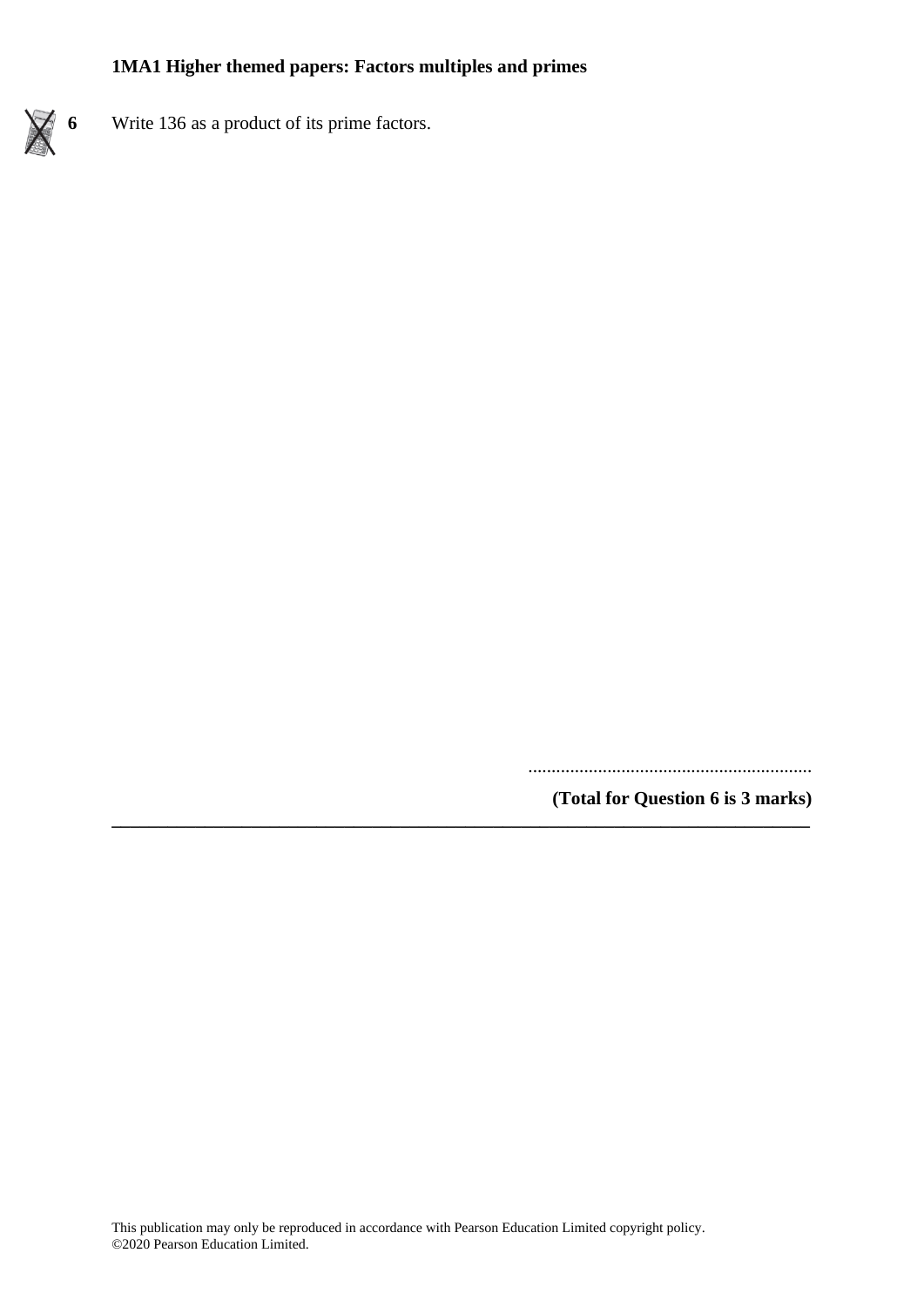

**6** Write 136 as a product of its prime factors.

.............................................................

**(Total for Question 6 is 3 marks)**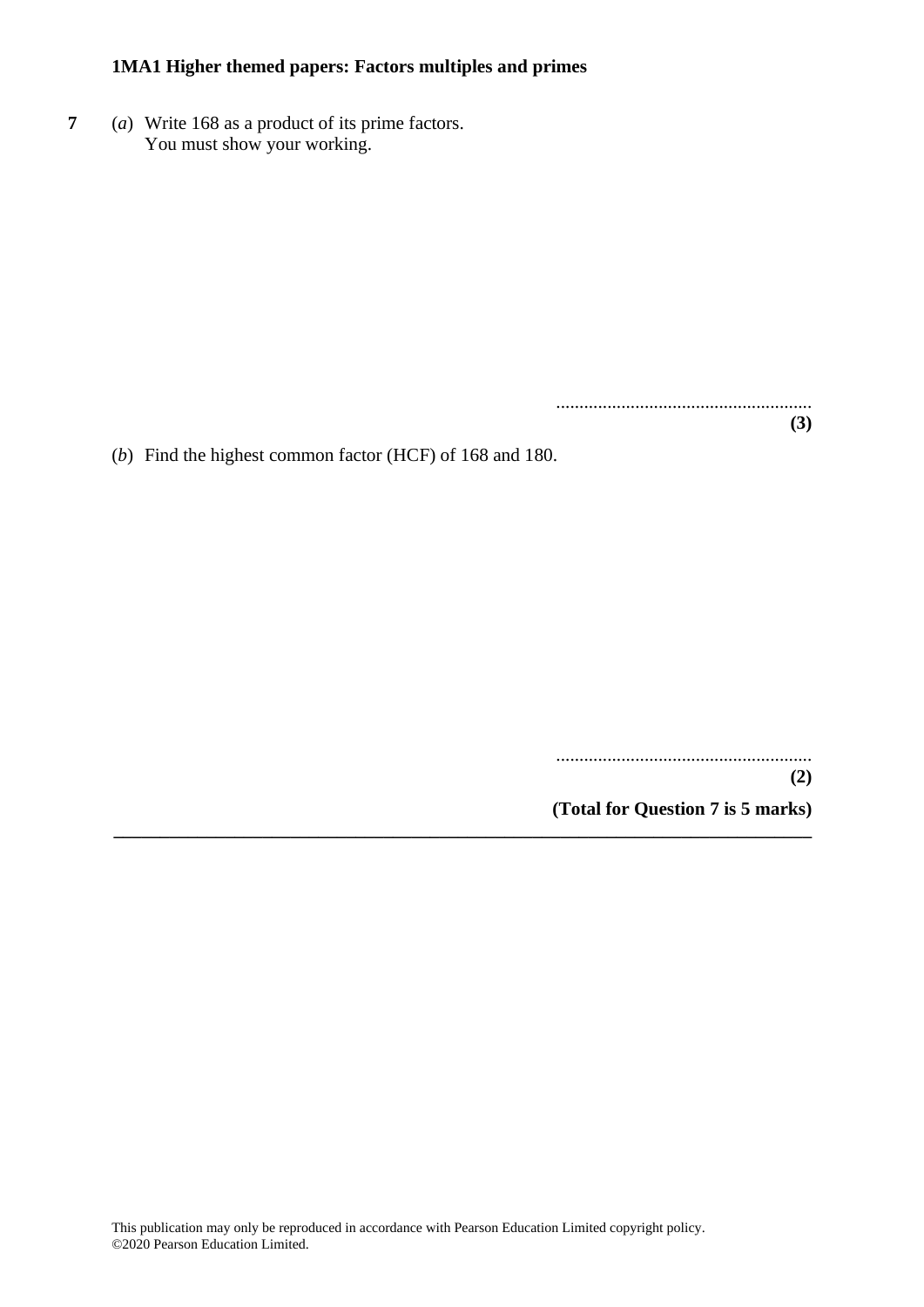**7** (*a*) Write 168 as a product of its prime factors. You must show your working.

> ....................................................... **(3)**

(*b*) Find the highest common factor (HCF) of 168 and 180.

.......................................................

**(2)**

**(Total for Question 7 is 5 marks) \_\_\_\_\_\_\_\_\_\_\_\_\_\_\_\_\_\_\_\_\_\_\_\_\_\_\_\_\_\_\_\_\_\_\_\_\_\_\_\_\_\_\_\_\_\_\_\_\_\_\_\_\_\_\_\_\_\_\_\_\_\_\_\_\_\_\_\_\_\_\_\_\_\_\_**